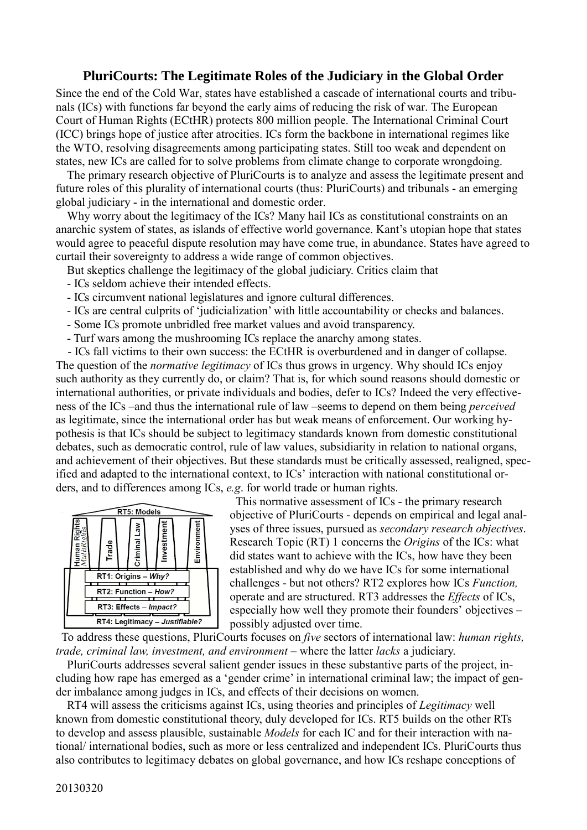#### **PluriCourts: The Legitimate Roles of the Judiciary in the Global Order**

Since the end of the Cold War, states have established a cascade of international courts and tribunals (ICs) with functions far beyond the early aims of reducing the risk of war. The European Court of Human Rights (ECtHR) protects 800 million people. The International Criminal Court (ICC) brings hope of justice after atrocities. ICs form the backbone in international regimes like the WTO, resolving disagreements among participating states. Still too weak and dependent on states, new ICs are called for to solve problems from climate change to corporate wrongdoing.

The primary research objective of PluriCourts is to analyze and assess the legitimate present and future roles of this plurality of international courts (thus: PluriCourts) and tribunals - an emerging global judiciary - in the international and domestic order.

Why worry about the legitimacy of the ICs? Many hail ICs as constitutional constraints on an anarchic system of states, as islands of effective world governance. Kant's utopian hope that states would agree to peaceful dispute resolution may have come true, in abundance. States have agreed to curtail their sovereignty to address a wide range of common objectives.

But skeptics challenge the legitimacy of the global judiciary. Critics claim that

- ICs seldom achieve their intended effects.
- ICs circumvent national legislatures and ignore cultural differences.
- ICs are central culprits of 'judicialization' with little accountability or checks and balances.
- Some ICs promote unbridled free market values and avoid transparency.
- Turf wars among the mushrooming ICs replace the anarchy among states.

 - ICs fall victims to their own success: the ECtHR is overburdened and in danger of collapse. The question of the *normative legitimacy* of ICs thus grows in urgency. Why should ICs enjoy such authority as they currently do, or claim? That is, for which sound reasons should domestic or international authorities, or private individuals and bodies, defer to ICs? Indeed the very effectiveness of the ICs –and thus the international rule of law –seems to depend on them being *perceived* as legitimate, since the international order has but weak means of enforcement. Our working hypothesis is that ICs should be subject to legitimacy standards known from domestic constitutional debates, such as democratic control, rule of law values, subsidiarity in relation to national organs, and achievement of their objectives. But these standards must be critically assessed, realigned, specified and adapted to the international context, to ICs' interaction with national constitutional orders, and to differences among ICs, *e.g*. for world trade or human rights.



 This normative assessment of ICs - the primary research objective of PluriCourts - depends on empirical and legal analyses of three issues, pursued as *secondary research objectives*. Research Topic (RT) 1 concerns the *Origins* of the ICs: what did states want to achieve with the ICs, how have they been established and why do we have ICs for some international challenges - but not others? RT2 explores how ICs *Function,*  operate and are structured. RT3 addresses the *Effects* of ICs, especially how well they promote their founders' objectives – possibly adjusted over time.

 To address these questions, PluriCourts focuses on *five* sectors of international law: *human rights, trade, criminal law, investment, and environment* – where the latter *lacks* a judiciary.

PluriCourts addresses several salient gender issues in these substantive parts of the project, including how rape has emerged as a 'gender crime' in international criminal law; the impact of gender imbalance among judges in ICs, and effects of their decisions on women.

RT4 will assess the criticisms against ICs, using theories and principles of *Legitimacy* well known from domestic constitutional theory, duly developed for ICs. RT5 builds on the other RTs to develop and assess plausible, sustainable *Models* for each IC and for their interaction with national/ international bodies, such as more or less centralized and independent ICs. PluriCourts thus also contributes to legitimacy debates on global governance, and how ICs reshape conceptions of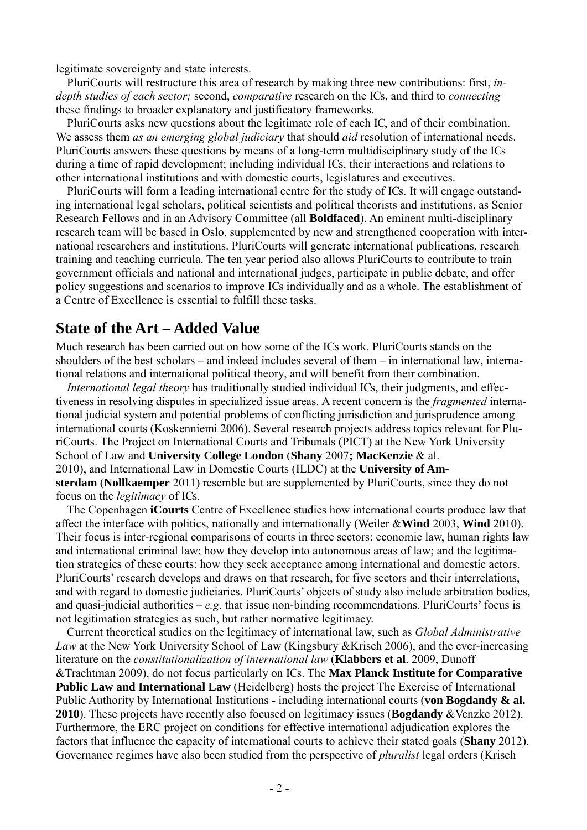legitimate sovereignty and state interests.

PluriCourts will restructure this area of research by making three new contributions: first, *indepth studies of each sector;* second, *comparative* research on the ICs, and third to *connecting* these findings to broader explanatory and justificatory frameworks.

PluriCourts asks new questions about the legitimate role of each IC, and of their combination. We assess them *as an emerging global judiciary* that should *aid* resolution of international needs. PluriCourts answers these questions by means of a long-term multidisciplinary study of the ICs during a time of rapid development; including individual ICs, their interactions and relations to other international institutions and with domestic courts, legislatures and executives.

PluriCourts will form a leading international centre for the study of ICs. It will engage outstanding international legal scholars, political scientists and political theorists and institutions, as Senior Research Fellows and in an Advisory Committee (all **Boldfaced**). An eminent multi-disciplinary research team will be based in Oslo, supplemented by new and strengthened cooperation with international researchers and institutions. PluriCourts will generate international publications, research training and teaching curricula. The ten year period also allows PluriCourts to contribute to train government officials and national and international judges, participate in public debate, and offer policy suggestions and scenarios to improve ICs individually and as a whole. The establishment of a Centre of Excellence is essential to fulfill these tasks.

### **State of the Art – Added Value**

Much research has been carried out on how some of the ICs work. PluriCourts stands on the shoulders of the best scholars – and indeed includes several of them – in international law, international relations and international political theory, and will benefit from their combination.

*International legal theory* has traditionally studied individual ICs, their judgments, and effectiveness in resolving disputes in specialized issue areas. A recent concern is the *fragmented* international judicial system and potential problems of conflicting jurisdiction and jurisprudence among international courts (Koskenniemi 2006). Several research projects address topics relevant for PluriCourts. The Project on International Courts and Tribunals (PICT) at the New York University School of Law and **University College London** (**Shany** 2007**; MacKenzie** & al. 2010), and International Law in Domestic Courts (ILDC) at the **University of Amsterdam** (**Nollkaemper** 2011) resemble but are supplemented by PluriCourts, since they do not focus on the *legitimacy* of ICs.

The Copenhagen **iCourts** Centre of Excellence studies how international courts produce law that affect the interface with politics, nationally and internationally (Weiler &**Wind** 2003, **Wind** 2010). Their focus is inter-regional comparisons of courts in three sectors: economic law, human rights law and international criminal law; how they develop into autonomous areas of law; and the legitimation strategies of these courts: how they seek acceptance among international and domestic actors. PluriCourts' research develops and draws on that research, for five sectors and their interrelations, and with regard to domestic judiciaries. PluriCourts' objects of study also include arbitration bodies, and quasi-judicial authorities –  $e.g.$  that issue non-binding recommendations. PluriCourts' focus is not legitimation strategies as such, but rather normative legitimacy.

Current theoretical studies on the legitimacy of international law, such as *Global Administrative Law* at the New York University School of Law (Kingsbury &Krisch 2006), and the ever-increasing literature on the *constitutionalization of international law* (**Klabbers et al**. 2009, Dunoff &Trachtman 2009), do not focus particularly on ICs. The **Max Planck Institute for Comparative Public Law and International Law** (Heidelberg) hosts the project The Exercise of International Public Authority by International Institutions - including international courts (**von Bogdandy & al. 2010**). These projects have recently also focused on legitimacy issues (**Bogdandy** &Venzke 2012). Furthermore, the ERC project on conditions for effective international adjudication explores the factors that influence the capacity of international courts to achieve their stated goals (**Shany** 2012). Governance regimes have also been studied from the perspective of *pluralist* legal orders (Krisch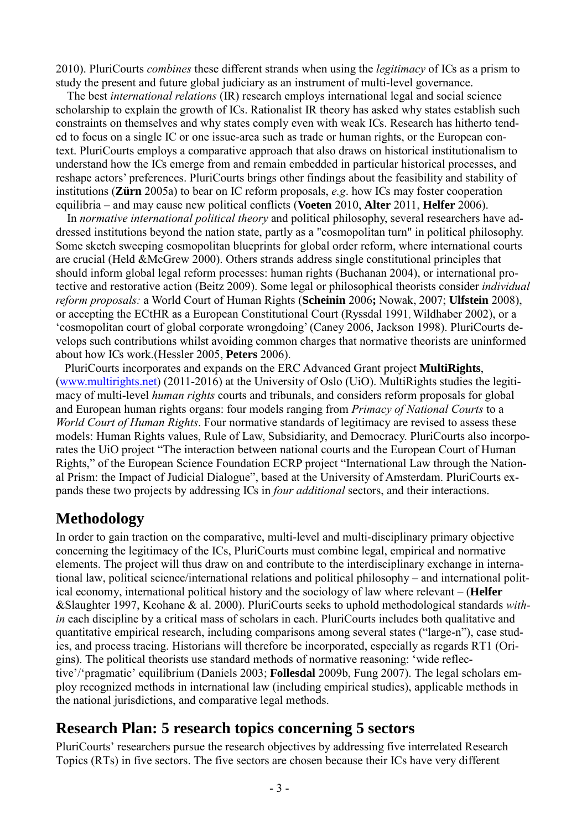2010). PluriCourts *combines* these different strands when using the *legitimacy* of ICs as a prism to study the present and future global judiciary as an instrument of multi-level governance.

The best *international relations* (IR) research employs international legal and social science scholarship to explain the growth of ICs. Rationalist IR theory has asked why states establish such constraints on themselves and why states comply even with weak ICs. Research has hitherto tended to focus on a single IC or one issue-area such as trade or human rights, or the European context. PluriCourts employs a comparative approach that also draws on historical institutionalism to understand how the ICs emerge from and remain embedded in particular historical processes, and reshape actors' preferences. PluriCourts brings other findings about the feasibility and stability of institutions (**Zürn** 2005a) to bear on IC reform proposals, *e.g*. how ICs may foster cooperation equilibria – and may cause new political conflicts (**Voeten** 2010, **Alter** 2011, **Helfer** 2006).

In *normative international political theory* and political philosophy, several researchers have addressed institutions beyond the nation state, partly as a "cosmopolitan turn" in political philosophy. Some sketch sweeping cosmopolitan blueprints for global order reform, where international courts are crucial (Held &McGrew 2000). Others strands address single constitutional principles that should inform global legal reform processes: human rights (Buchanan 2004), or international protective and restorative action (Beitz 2009). Some legal or philosophical theorists consider *individual reform proposals:* a World Court of Human Rights (**Scheinin** 2006**;** Nowak, 2007; **Ulfstein** 2008), or accepting the ECtHR as a European Constitutional Court (Ryssdal 1991, Wildhaber 2002), or a 'cosmopolitan court of global corporate wrongdoing' (Caney 2006, Jackson 1998). PluriCourts develops such contributions whilst avoiding common charges that normative theorists are uninformed about how ICs work.(Hessler 2005, **Peters** 2006).

 PluriCourts incorporates and expands on the ERC Advanced Grant project **MultiRights**, [\(www.multirights.net\)](http://www.multirights.net/) (2011-2016) at the University of Oslo (UiO). MultiRights studies the legitimacy of multi-level *human rights* courts and tribunals, and considers reform proposals for global and European human rights organs: four models ranging from *Primacy of National Courts* to a *World Court of Human Rights*. Four normative standards of legitimacy are revised to assess these models: Human Rights values, Rule of Law, Subsidiarity, and Democracy. PluriCourts also incorporates the UiO project "The interaction between national courts and the European Court of Human Rights," of the European Science Foundation ECRP project "International Law through the National Prism: the Impact of Judicial Dialogue", based at the University of Amsterdam. PluriCourts expands these two projects by addressing ICs in *four additional* sectors, and their interactions.

# **Methodology**

In order to gain traction on the comparative, multi-level and multi-disciplinary primary objective concerning the legitimacy of the ICs, PluriCourts must combine legal, empirical and normative elements. The project will thus draw on and contribute to the interdisciplinary exchange in international law, political science/international relations and political philosophy – and international political economy, international political history and the sociology of law where relevant – (**Helfer** &Slaughter 1997, Keohane & al. 2000). PluriCourts seeks to uphold methodological standards *within* each discipline by a critical mass of scholars in each. PluriCourts includes both qualitative and quantitative empirical research, including comparisons among several states ("large-n"), case studies, and process tracing. Historians will therefore be incorporated, especially as regards RT1 (Origins). The political theorists use standard methods of normative reasoning: 'wide reflective'/'pragmatic' equilibrium (Daniels 2003; **Follesdal** 2009b, Fung 2007). The legal scholars employ recognized methods in international law (including empirical studies), applicable methods in the national jurisdictions, and comparative legal methods.

# **Research Plan: 5 research topics concerning 5 sectors**

PluriCourts' researchers pursue the research objectives by addressing five interrelated Research Topics (RTs) in five sectors. The five sectors are chosen because their ICs have very different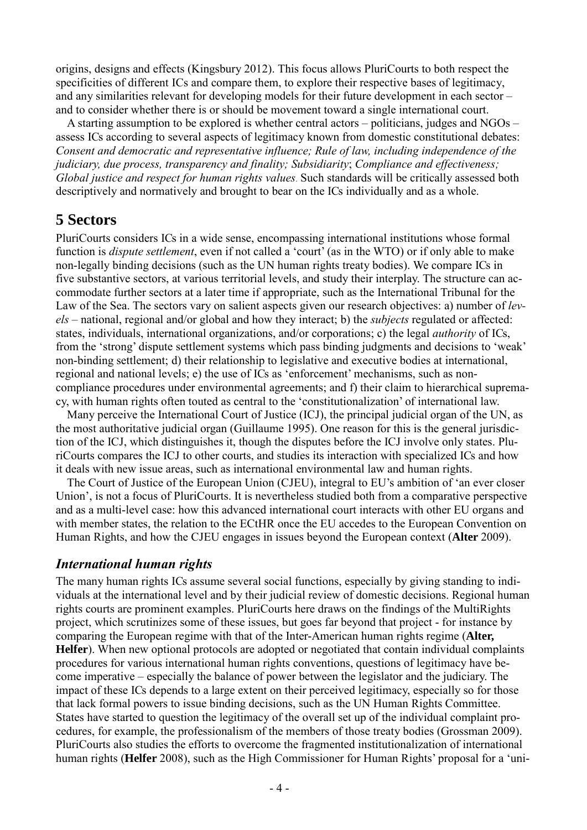origins, designs and effects (Kingsbury 2012). This focus allows PluriCourts to both respect the specificities of different ICs and compare them, to explore their respective bases of legitimacy, and any similarities relevant for developing models for their future development in each sector – and to consider whether there is or should be movement toward a single international court.

A starting assumption to be explored is whether central actors – politicians, judges and NGOs – assess ICs according to several aspects of legitimacy known from domestic constitutional debates: *Consent and democratic and representative influence; Rule of law, including independence of the judiciary, due process, transparency and finality; Subsidiarity*; *Compliance and effectiveness; Global justice and respect for human rights values*. Such standards will be critically assessed both descriptively and normatively and brought to bear on the ICs individually and as a whole.

# **5 Sectors**

PluriCourts considers ICs in a wide sense, encompassing international institutions whose formal function is *dispute settlement*, even if not called a 'court' (as in the WTO) or if only able to make non-legally binding decisions (such as the UN human rights treaty bodies). We compare ICs in five substantive sectors, at various territorial levels, and study their interplay. The structure can accommodate further sectors at a later time if appropriate, such as the International Tribunal for the Law of the Sea. The sectors vary on salient aspects given our research objectives: a) number of *levels* – national, regional and/or global and how they interact; b) the *subjects* regulated or affected: states, individuals, international organizations, and/or corporations; c) the legal *authority* of ICs, from the 'strong' dispute settlement systems which pass binding judgments and decisions to 'weak' non-binding settlement; d) their relationship to legislative and executive bodies at international, regional and national levels; e) the use of ICs as 'enforcement' mechanisms, such as noncompliance procedures under environmental agreements; and f) their claim to hierarchical supremacy, with human rights often touted as central to the 'constitutionalization' of international law.

Many perceive the International Court of Justice (ICJ), the principal judicial organ of the UN, as the most authoritative judicial organ (Guillaume 1995). One reason for this is the general jurisdiction of the ICJ, which distinguishes it, though the disputes before the ICJ involve only states. PluriCourts compares the ICJ to other courts, and studies its interaction with specialized ICs and how it deals with new issue areas, such as international environmental law and human rights.

The Court of Justice of the European Union (CJEU), integral to EU's ambition of 'an ever closer Union', is not a focus of PluriCourts. It is nevertheless studied both from a comparative perspective and as a multi-level case: how this advanced international court interacts with other EU organs and with member states, the relation to the ECtHR once the EU accedes to the European Convention on Human Rights, and how the CJEU engages in issues beyond the European context (**Alter** 2009).

### *International human rights*

The many human rights ICs assume several social functions, especially by giving standing to individuals at the international level and by their judicial review of domestic decisions. Regional human rights courts are prominent examples. PluriCourts here draws on the findings of the MultiRights project, which scrutinizes some of these issues, but goes far beyond that project - for instance by comparing the European regime with that of the Inter-American human rights regime (**Alter, Helfer**). When new optional protocols are adopted or negotiated that contain individual complaints procedures for various international human rights conventions, questions of legitimacy have become imperative – especially the balance of power between the legislator and the judiciary. The impact of these ICs depends to a large extent on their perceived legitimacy, especially so for those that lack formal powers to issue binding decisions, such as the UN Human Rights Committee. States have started to question the legitimacy of the overall set up of the individual complaint procedures, for example, the professionalism of the members of those treaty bodies (Grossman 2009). PluriCourts also studies the efforts to overcome the fragmented institutionalization of international human rights (**Helfer** 2008), such as the High Commissioner for Human Rights' proposal for a 'uni-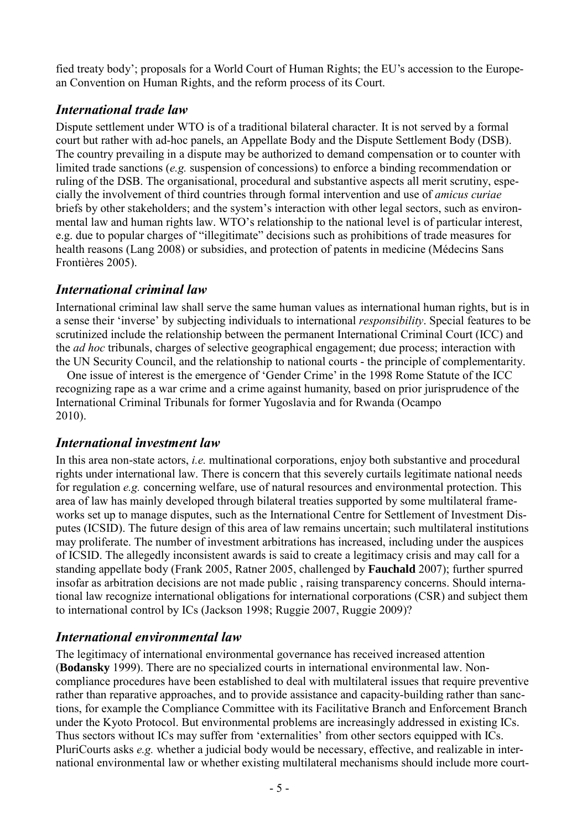fied treaty body'; proposals for a World Court of Human Rights; the EU's accession to the European Convention on Human Rights, and the reform process of its Court.

### *International trade law*

Dispute settlement under WTO is of a traditional bilateral character. It is not served by a formal court but rather with ad-hoc panels, an Appellate Body and the Dispute Settlement Body (DSB). The country prevailing in a dispute may be authorized to demand compensation or to counter with limited trade sanctions (*e.g.* suspension of concessions) to enforce a binding recommendation or ruling of the DSB. The organisational, procedural and substantive aspects all merit scrutiny, especially the involvement of third countries through formal intervention and use of *amicus curiae* briefs by other stakeholders; and the system's interaction with other legal sectors, such as environmental law and human rights law. WTO's relationship to the national level is of particular interest, e.g. due to popular charges of "illegitimate" decisions such as prohibitions of trade measures for health reasons (Lang 2008) or subsidies, and protection of patents in medicine (Médecins Sans Frontières 2005).

## *International criminal law*

International criminal law shall serve the same human values as international human rights, but is in a sense their 'inverse' by subjecting individuals to international *responsibility*. Special features to be scrutinized include the relationship between the permanent International Criminal Court (ICC) and the *ad hoc* tribunals, charges of selective geographical engagement; due process; interaction with the UN Security Council, and the relationship to national courts - the principle of complementarity.

One issue of interest is the emergence of 'Gender Crime' in the 1998 Rome Statute of the ICC recognizing rape as a war crime and a crime against humanity, based on prior jurisprudence of the International Criminal Tribunals for former Yugoslavia and for Rwanda (Ocampo 2010).

### *International investment law*

In this area non-state actors, *i.e.* multinational corporations, enjoy both substantive and procedural rights under international law. There is concern that this severely curtails legitimate national needs for regulation *e.g.* concerning welfare, use of natural resources and environmental protection. This area of law has mainly developed through bilateral treaties supported by some multilateral frameworks set up to manage disputes, such as the International Centre for Settlement of Investment Disputes (ICSID). The future design of this area of law remains uncertain; such multilateral institutions may proliferate. The number of investment arbitrations has increased, including under the auspices of ICSID. The allegedly inconsistent awards is said to create a legitimacy crisis and may call for a standing appellate body (Frank 2005, Ratner 2005, challenged by **Fauchald** 2007); further spurred insofar as arbitration decisions are not made public , raising transparency concerns. Should international law recognize international obligations for international corporations (CSR) and subject them to international control by ICs (Jackson 1998; Ruggie 2007, Ruggie 2009)?

### *International environmental law*

The legitimacy of international environmental governance has received increased attention (**Bodansky** 1999). There are no specialized courts in international environmental law. Noncompliance procedures have been established to deal with multilateral issues that require preventive rather than reparative approaches, and to provide assistance and capacity-building rather than sanctions, for example the Compliance Committee with its Facilitative Branch and Enforcement Branch under the Kyoto Protocol. But environmental problems are increasingly addressed in existing ICs. Thus sectors without ICs may suffer from 'externalities' from other sectors equipped with ICs. PluriCourts asks *e.g.* whether a judicial body would be necessary, effective, and realizable in international environmental law or whether existing multilateral mechanisms should include more court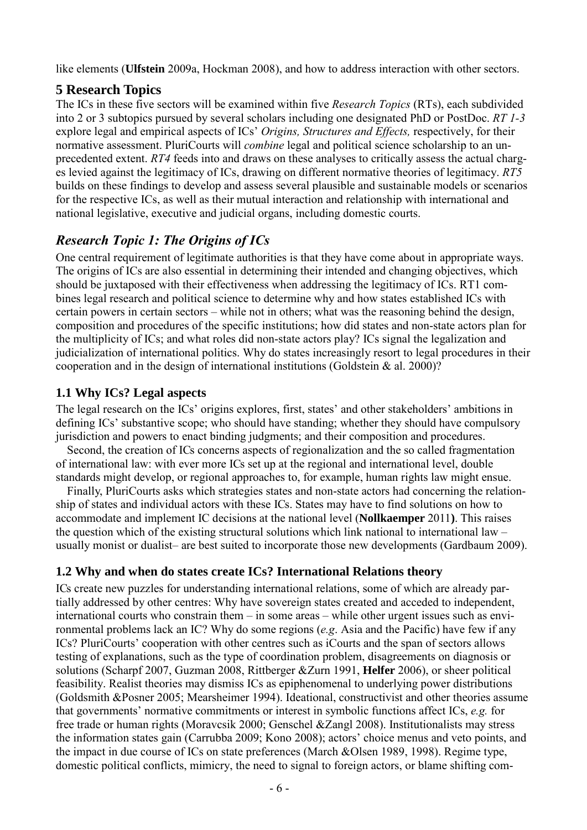like elements (**Ulfstein** 2009a, Hockman 2008), and how to address interaction with other sectors.

## **5 Research Topics**

The ICs in these five sectors will be examined within five *Research Topics* (RTs), each subdivided into 2 or 3 subtopics pursued by several scholars including one designated PhD or PostDoc. *RT 1-3* explore legal and empirical aspects of ICs' *Origins, Structures and Effects,* respectively, for their normative assessment. PluriCourts will *combine* legal and political science scholarship to an unprecedented extent. *RT4* feeds into and draws on these analyses to critically assess the actual charges levied against the legitimacy of ICs, drawing on different normative theories of legitimacy. *RT5* builds on these findings to develop and assess several plausible and sustainable models or scenarios for the respective ICs, as well as their mutual interaction and relationship with international and national legislative, executive and judicial organs, including domestic courts.

# *Research Topic 1: The Origins of ICs*

One central requirement of legitimate authorities is that they have come about in appropriate ways. The origins of ICs are also essential in determining their intended and changing objectives, which should be juxtaposed with their effectiveness when addressing the legitimacy of ICs. RT1 combines legal research and political science to determine why and how states established ICs with certain powers in certain sectors – while not in others; what was the reasoning behind the design, composition and procedures of the specific institutions; how did states and non-state actors plan for the multiplicity of ICs; and what roles did non-state actors play? ICs signal the legalization and judicialization of international politics. Why do states increasingly resort to legal procedures in their cooperation and in the design of international institutions (Goldstein & al. 2000)?

# **1.1 Why ICs? Legal aspects**

The legal research on the ICs' origins explores, first, states' and other stakeholders' ambitions in defining ICs' substantive scope; who should have standing; whether they should have compulsory jurisdiction and powers to enact binding judgments; and their composition and procedures.

Second, the creation of ICs concerns aspects of regionalization and the so called fragmentation of international law: with ever more ICs set up at the regional and international level, double standards might develop, or regional approaches to, for example, human rights law might ensue.

Finally, PluriCourts asks which strategies states and non-state actors had concerning the relationship of states and individual actors with these ICs. States may have to find solutions on how to accommodate and implement IC decisions at the national level (**Nollkaemper** 2011**)**. This raises the question which of the existing structural solutions which link national to international law – usually monist or dualist– are best suited to incorporate those new developments (Gardbaum 2009).

# **1.2 Why and when do states create ICs? International Relations theory**

ICs create new puzzles for understanding international relations, some of which are already partially addressed by other centres: Why have sovereign states created and acceded to independent, international courts who constrain them – in some areas – while other urgent issues such as environmental problems lack an IC? Why do some regions (*e.g*. Asia and the Pacific) have few if any ICs? PluriCourts' cooperation with other centres such as iCourts and the span of sectors allows testing of explanations, such as the type of coordination problem, disagreements on diagnosis or solutions (Scharpf 2007, Guzman 2008, Rittberger &Zurn 1991, **Helfer** 2006), or sheer political feasibility. Realist theories may dismiss ICs as epiphenomenal to underlying power distributions (Goldsmith &Posner 2005; Mearsheimer 1994). Ideational, constructivist and other theories assume that governments' normative commitments or interest in symbolic functions affect ICs, *e.g.* for free trade or human rights (Moravcsik 2000; Genschel &Zangl 2008). Institutionalists may stress the information states gain (Carrubba 2009; Kono 2008); actors' choice menus and veto points, and the impact in due course of ICs on state preferences (March &Olsen 1989, 1998). Regime type, domestic political conflicts, mimicry, the need to signal to foreign actors, or blame shifting com-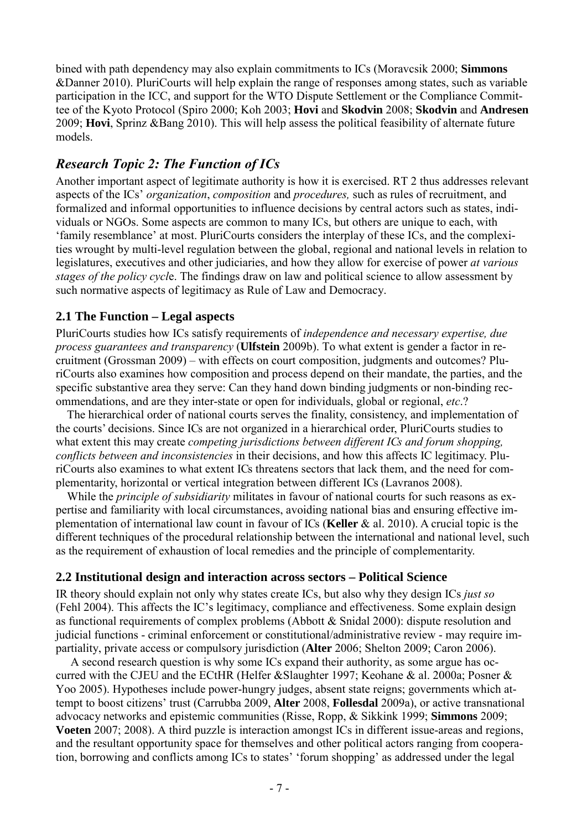bined with path dependency may also explain commitments to ICs (Moravcsik 2000; **Simmons** &Danner 2010). PluriCourts will help explain the range of responses among states, such as variable participation in the ICC, and support for the WTO Dispute Settlement or the Compliance Committee of the Kyoto Protocol (Spiro 2000; Koh 2003; **Hovi** and **Skodvin** 2008; **Skodvin** and **Andresen** 2009; **Hovi**, Sprinz &Bang 2010). This will help assess the political feasibility of alternate future models.

### *Research Topic 2: The Function of ICs*

Another important aspect of legitimate authority is how it is exercised. RT 2 thus addresses relevant aspects of the ICs' *organization*, *composition* and *procedures,* such as rules of recruitment, and formalized and informal opportunities to influence decisions by central actors such as states, individuals or NGOs. Some aspects are common to many ICs, but others are unique to each, with 'family resemblance' at most. PluriCourts considers the interplay of these ICs, and the complexities wrought by multi-level regulation between the global, regional and national levels in relation to legislatures, executives and other judiciaries, and how they allow for exercise of power *at various stages of the policy cycl*e. The findings draw on law and political science to allow assessment by such normative aspects of legitimacy as Rule of Law and Democracy.

#### **2.1 The Function – Legal aspects**

PluriCourts studies how ICs satisfy requirements of *independence and necessary expertise, due process guarantees and transparency* (**Ulfstein** 2009b). To what extent is gender a factor in recruitment (Grossman 2009) – with effects on court composition, judgments and outcomes? PluriCourts also examines how composition and process depend on their mandate, the parties, and the specific substantive area they serve: Can they hand down binding judgments or non-binding recommendations, and are they inter-state or open for individuals, global or regional, *etc*.?

The hierarchical order of national courts serves the finality, consistency, and implementation of the courts' decisions. Since ICs are not organized in a hierarchical order, PluriCourts studies to what extent this may create *competing jurisdictions between different ICs and forum shopping, conflicts between and inconsistencies* in their decisions, and how this affects IC legitimacy. PluriCourts also examines to what extent ICs threatens sectors that lack them, and the need for complementarity, horizontal or vertical integration between different ICs (Lavranos 2008).

While the *principle of subsidiarity* militates in favour of national courts for such reasons as expertise and familiarity with local circumstances, avoiding national bias and ensuring effective implementation of international law count in favour of ICs (**Keller** & al. 2010). A crucial topic is the different techniques of the procedural relationship between the international and national level, such as the requirement of exhaustion of local remedies and the principle of complementarity.

#### **2.2 Institutional design and interaction across sectors – Political Science**

IR theory should explain not only why states create ICs, but also why they design ICs *just so* (Fehl 2004). This affects the IC's legitimacy, compliance and effectiveness. Some explain design as functional requirements of complex problems (Abbott & Snidal 2000): dispute resolution and judicial functions - criminal enforcement or constitutional/administrative review - may require impartiality, private access or compulsory jurisdiction (**Alter** 2006; Shelton 2009; Caron 2006).

A second research question is why some ICs expand their authority, as some argue has occurred with the CJEU and the ECtHR (Helfer &Slaughter 1997; Keohane & al. 2000a; Posner & Yoo 2005). Hypotheses include power-hungry judges, absent state reigns; governments which attempt to boost citizens' trust (Carrubba 2009, **Alter** 2008, **Follesdal** 2009a), or active transnational advocacy networks and epistemic communities (Risse, Ropp, & Sikkink 1999; **Simmons** 2009; **Voeten** 2007; 2008). A third puzzle is interaction amongst ICs in different issue-areas and regions, and the resultant opportunity space for themselves and other political actors ranging from cooperation, borrowing and conflicts among ICs to states' 'forum shopping' as addressed under the legal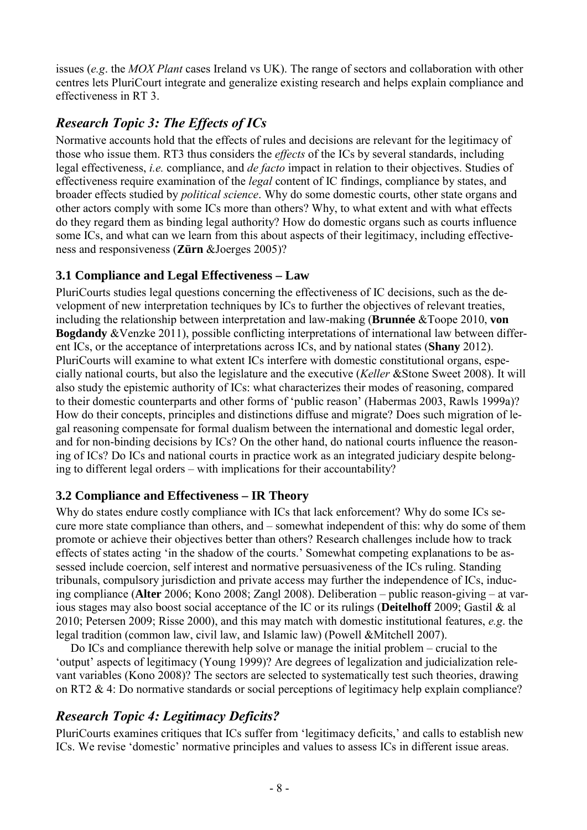issues (*e.g*. the *MOX Plant* cases Ireland vs UK). The range of sectors and collaboration with other centres lets PluriCourt integrate and generalize existing research and helps explain compliance and effectiveness in RT 3.

# *Research Topic 3: The Effects of ICs*

Normative accounts hold that the effects of rules and decisions are relevant for the legitimacy of those who issue them. RT3 thus considers the *effects* of the ICs by several standards, including legal effectiveness, *i.e.* compliance, and *de facto* impact in relation to their objectives. Studies of effectiveness require examination of the *legal* content of IC findings, compliance by states, and broader effects studied by *political science*. Why do some domestic courts, other state organs and other actors comply with some ICs more than others? Why, to what extent and with what effects do they regard them as binding legal authority? How do domestic organs such as courts influence some ICs, and what can we learn from this about aspects of their legitimacy, including effectiveness and responsiveness (**Zürn** &Joerges 2005)?

### **3.1 Compliance and Legal Effectiveness – Law**

PluriCourts studies legal questions concerning the effectiveness of IC decisions, such as the development of new interpretation techniques by ICs to further the objectives of relevant treaties, including the relationship between interpretation and law-making (**Brunnée** &Toope 2010, **von Bogdandy** &Venzke 2011), possible conflicting interpretations of international law between different ICs, or the acceptance of interpretations across ICs, and by national states (**Shany** 2012). PluriCourts will examine to what extent ICs interfere with domestic constitutional organs, especially national courts, but also the legislature and the executive (*Keller* &Stone Sweet 2008). It will also study the epistemic authority of ICs: what characterizes their modes of reasoning, compared to their domestic counterparts and other forms of 'public reason' (Habermas 2003, Rawls 1999a)? How do their concepts, principles and distinctions diffuse and migrate? Does such migration of legal reasoning compensate for formal dualism between the international and domestic legal order, and for non-binding decisions by ICs? On the other hand, do national courts influence the reasoning of ICs? Do ICs and national courts in practice work as an integrated judiciary despite belonging to different legal orders – with implications for their accountability?

# **3.2 Compliance and Effectiveness – IR Theory**

Why do states endure costly compliance with ICs that lack enforcement? Why do some ICs secure more state compliance than others, and – somewhat independent of this: why do some of them promote or achieve their objectives better than others? Research challenges include how to track effects of states acting 'in the shadow of the courts.' Somewhat competing explanations to be assessed include coercion, self interest and normative persuasiveness of the ICs ruling. Standing tribunals, compulsory jurisdiction and private access may further the independence of ICs, inducing compliance (**Alter** 2006; Kono 2008; Zangl 2008). Deliberation – public reason-giving – at various stages may also boost social acceptance of the IC or its rulings (**Deitelhoff** 2009; Gastil & al 2010; Petersen 2009; Risse 2000), and this may match with domestic institutional features, *e.g*. the legal tradition (common law, civil law, and Islamic law) (Powell &Mitchell 2007).

Do ICs and compliance therewith help solve or manage the initial problem – crucial to the 'output' aspects of legitimacy (Young 1999)? Are degrees of legalization and judicialization relevant variables (Kono 2008)? The sectors are selected to systematically test such theories, drawing on RT2 & 4: Do normative standards or social perceptions of legitimacy help explain compliance?

# *Research Topic 4: Legitimacy Deficits?*

PluriCourts examines critiques that ICs suffer from 'legitimacy deficits,' and calls to establish new ICs. We revise 'domestic' normative principles and values to assess ICs in different issue areas.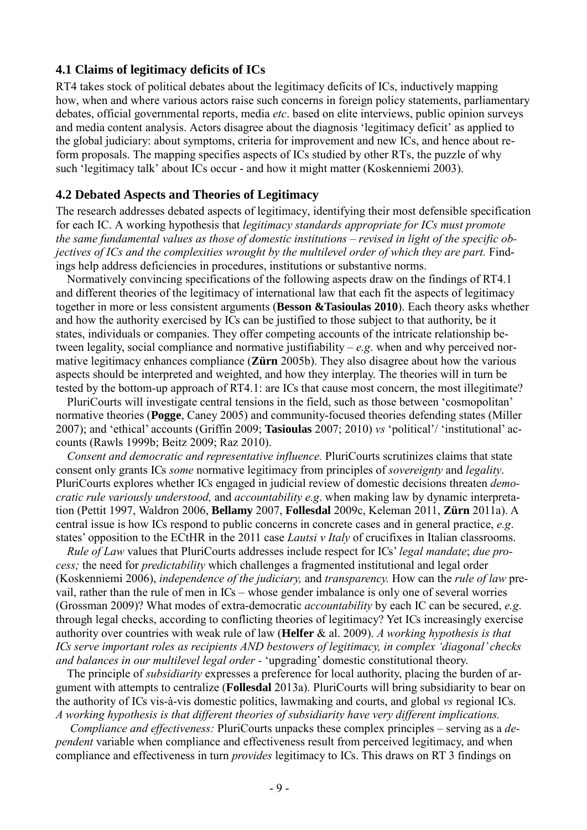#### **4.1 Claims of legitimacy deficits of ICs**

RT4 takes stock of political debates about the legitimacy deficits of ICs, inductively mapping how, when and where various actors raise such concerns in foreign policy statements, parliamentary debates, official governmental reports, media *etc*. based on elite interviews, public opinion surveys and media content analysis. Actors disagree about the diagnosis 'legitimacy deficit' as applied to the global judiciary: about symptoms, criteria for improvement and new ICs, and hence about reform proposals. The mapping specifies aspects of ICs studied by other RTs, the puzzle of why such 'legitimacy talk' about ICs occur - and how it might matter (Koskenniemi 2003).

#### **4.2 Debated Aspects and Theories of Legitimacy**

The research addresses debated aspects of legitimacy, identifying their most defensible specification for each IC. A working hypothesis that *legitimacy standards appropriate for ICs must promote the same fundamental values as those of domestic institutions – revised in light of the specific objectives of ICs and the complexities wrought by the multilevel order of which they are part.* Findings help address deficiencies in procedures, institutions or substantive norms.

Normatively convincing specifications of the following aspects draw on the findings of RT4.1 and different theories of the legitimacy of international law that each fit the aspects of legitimacy together in more or less consistent arguments (**Besson &Tasioulas 2010**). Each theory asks whether and how the authority exercised by ICs can be justified to those subject to that authority, be it states, individuals or companies. They offer competing accounts of the intricate relationship between legality, social compliance and normative justifiability – *e.g*. when and why perceived normative legitimacy enhances compliance (**Zürn** 2005b). They also disagree about how the various aspects should be interpreted and weighted, and how they interplay. The theories will in turn be tested by the bottom-up approach of RT4.1: are ICs that cause most concern, the most illegitimate?

PluriCourts will investigate central tensions in the field, such as those between 'cosmopolitan' normative theories (**Pogge**, Caney 2005) and community-focused theories defending states (Miller 2007); and 'ethical' accounts (Griffin 2009; **Tasioulas** 2007; 2010) *vs* 'political'/ 'institutional' accounts (Rawls 1999b; Beitz 2009; Raz 2010).

*Consent and democratic and representative influence.* PluriCourts scrutinizes claims that state consent only grants ICs *some* normative legitimacy from principles of *sovereignty* and *legality*. PluriCourts explores whether ICs engaged in judicial review of domestic decisions threaten *democratic rule variously understood,* and *accountability e.g*. when making law by dynamic interpretation (Pettit 1997, Waldron 2006, **Bellamy** 2007, **Follesdal** 2009c, Keleman 2011, **Zürn** 2011a). A central issue is how ICs respond to public concerns in concrete cases and in general practice, *e.g*. states' opposition to the ECtHR in the 2011 case *Lautsi v Italy* of crucifixes in Italian classrooms.

*Rule of Law* values that PluriCourts addresses include respect for ICs' *legal mandate*; *due process;* the need for *predictability* which challenges a fragmented institutional and legal order (Koskenniemi 2006), *independence of the judiciary,* and *transparency.* How can the *rule of law* prevail, rather than the rule of men in ICs – whose gender imbalance is only one of several worries (Grossman 2009)? What modes of extra-democratic *accountability* by each IC can be secured, *e.g*. through legal checks, according to conflicting theories of legitimacy? Yet ICs increasingly exercise authority over countries with weak rule of law (**Helfer** & al. 2009). *A working hypothesis is that ICs serve important roles as recipients AND bestowers of legitimacy, in complex 'diagonal' checks and balances in our multilevel legal order -* 'upgrading' domestic constitutional theory.

The principle of *subsidiarity* expresses a preference for local authority, placing the burden of argument with attempts to centralize (**Follesdal** 2013a). PluriCourts will bring subsidiarity to bear on the authority of ICs vis-à-vis domestic politics, lawmaking and courts, and global *vs* regional ICs. *A working hypothesis is that different theories of subsidiarity have very different implications.*

 *Compliance and effectiveness:* PluriCourts unpacks these complex principles – serving as a *dependent* variable when compliance and effectiveness result from perceived legitimacy, and when compliance and effectiveness in turn *provides* legitimacy to ICs. This draws on RT 3 findings on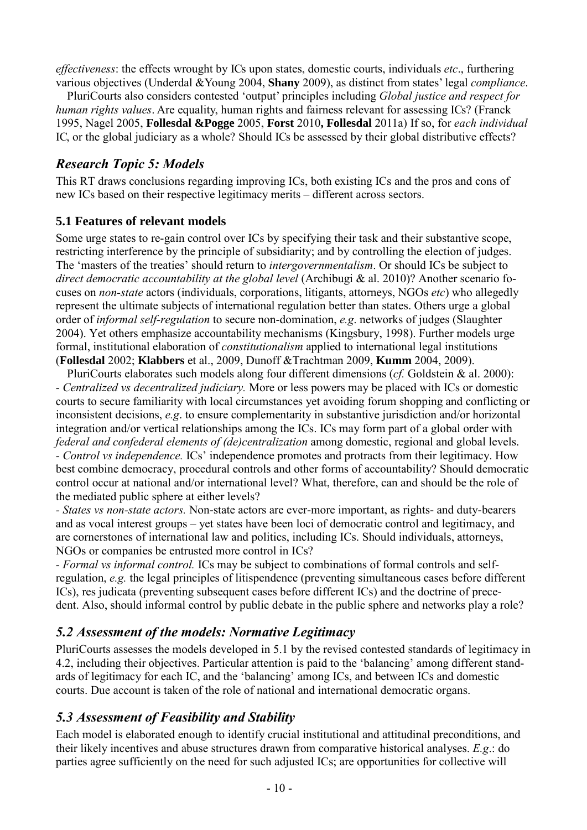*effectiveness*: the effects wrought by ICs upon states, domestic courts, individuals *etc*., furthering various objectives (Underdal &Young 2004, **Shany** 2009), as distinct from states' legal *compliance*.

PluriCourts also considers contested 'output' principles including *Global justice and respect for human rights values*. Are equality, human rights and fairness relevant for assessing ICs? (Franck 1995, Nagel 2005, **Follesdal &Pogge** 2005, **Forst** 2010**, Follesdal** 2011a) If so, for *each individual* IC, or the global judiciary as a whole? Should ICs be assessed by their global distributive effects?

### *Research Topic 5: Models*

This RT draws conclusions regarding improving ICs, both existing ICs and the pros and cons of new ICs based on their respective legitimacy merits – different across sectors.

### **5.1 Features of relevant models**

Some urge states to re-gain control over ICs by specifying their task and their substantive scope, restricting interference by the principle of subsidiarity; and by controlling the election of judges. The 'masters of the treaties' should return to *intergovernmentalism*. Or should ICs be subject to *direct democratic accountability at the global level* (Archibugi & al. 2010)? Another scenario focuses on *non-state* actors (individuals, corporations, litigants, attorneys, NGOs *etc*) who allegedly represent the ultimate subjects of international regulation better than states. Others urge a global order of *informal self-regulation* to secure non-domination, *e.g*. networks of judges (Slaughter 2004). Yet others emphasize accountability mechanisms (Kingsbury, 1998). Further models urge formal, institutional elaboration of *constitutionalism* applied to international legal institutions (**Follesdal** 2002; **Klabbers** et al., 2009, Dunoff &Trachtman 2009, **Kumm** 2004, 2009).

PluriCourts elaborates such models along four different dimensions (*cf.* Goldstein & al. 2000): *- Centralized vs decentralized judiciary.* More or less powers may be placed with ICs or domestic courts to secure familiarity with local circumstances yet avoiding forum shopping and conflicting or inconsistent decisions, *e.g*. to ensure complementarity in substantive jurisdiction and/or horizontal integration and/or vertical relationships among the ICs. ICs may form part of a global order with *federal and confederal elements of (de)centralization* among domestic, regional and global levels. *- Control vs independence.* ICs' independence promotes and protracts from their legitimacy. How best combine democracy, procedural controls and other forms of accountability? Should democratic control occur at national and/or international level? What, therefore, can and should be the role of the mediated public sphere at either levels?

*- States vs non-state actors.* Non-state actors are ever-more important, as rights- and duty-bearers and as vocal interest groups – yet states have been loci of democratic control and legitimacy, and are cornerstones of international law and politics, including ICs. Should individuals, attorneys, NGOs or companies be entrusted more control in ICs?

*- Formal vs informal control.* ICs may be subject to combinations of formal controls and selfregulation, *e.g.* the legal principles of litispendence (preventing simultaneous cases before different ICs), res judicata (preventing subsequent cases before different ICs) and the doctrine of precedent. Also, should informal control by public debate in the public sphere and networks play a role?

# *5.2 Assessment of the models: Normative Legitimacy*

PluriCourts assesses the models developed in 5.1 by the revised contested standards of legitimacy in 4.2, including their objectives. Particular attention is paid to the 'balancing' among different standards of legitimacy for each IC, and the 'balancing' among ICs, and between ICs and domestic courts. Due account is taken of the role of national and international democratic organs.

### *5.3 Assessment of Feasibility and Stability*

Each model is elaborated enough to identify crucial institutional and attitudinal preconditions, and their likely incentives and abuse structures drawn from comparative historical analyses. *E.g*.: do parties agree sufficiently on the need for such adjusted ICs; are opportunities for collective will